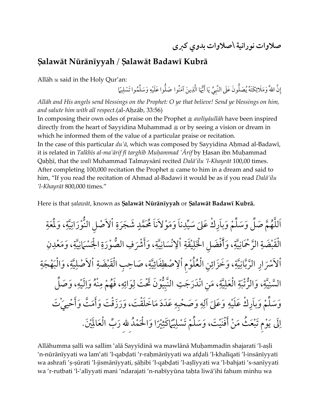**صالوات نورانية \صالوات بدوي كربى**

## **Šalawāt Nūrānīyyah** / **Šalawāt Badawī Kubrā**

Allāh  $\ast$  said in the Holy Qur'an:

إِنَّ اللّهَ ۖ وَمَلَائِكَتَهُ يُصَلُّونَ عَلَى النَّبِيِّ يَا أَيُّهَا الَّذِينَ آمَنُوا صَلُّوا عَلَيْهِ وَسَلِّمُوا تَسْلِيمَّا

*Allāh and His angels send blessings on the Prophet: O ye that believe! Send ye blessings on him, and salute him with all respect.*(al-Aħzāb, 33:56)

In composing their own odes of praise on the Prophet ÿ *awlīyāullāh* have been inspired directly from the heart of Sayyidina Muhammad  $\equiv$  or by seeing a vision or dream in which he informed them of the value of a particular praise or recitation.

In the case of this particular *du¿ā*, which was composed by Sayyidina Aħmad al-Badawī, it is related in *Talkhīs al-ma¿ārif fī targhīb Muħammad ¿Ārif* by Ħasan ibn Muħammad Qaħħī, that the *walī* Muhammad Talmaysānī recited *Dalā'ilu 'l-Khayrāt* 100,00 times. After completing 100,000 recitation the Prophet  $\&$  came to him in a dream and said to him, "If you read the recitation of Ahmad al-Badawi it would be as if you read *Dalā'ilu 'l-Khayrāt* 800,000 times."

Here is that salawāt, known as Salawāt Nūrānīyyah or Salawāt Badawī Kubrā.

يناً وَمَوْلاَناً اَللَّهُمَّ صَلِّ وَسَلِّمْ وَباَرِكْ عَلىَ سَيِّدِناَ وَمَوْلاَناَ مُحَمَّ  $\ddot{\cdot}$ َش َجَرة  $\frac{1}{2}$ لب  $\ddot{\ddot{\ }}$ ةِ، وَلَمَعَةِ سَة<br>مدارة<br>مدر  $\ddot{\phantom{0}}$ اْلاَصْل النُّوْرَانِ  $\ddot{.}$ الْقَبْضَةِ الرَّحْمَانِيَّةِ، وَأََفْضَلِ الْخَلِيْقَةِ **ٔ** سَة<br>مدار<br>مر  $\ddot{\phantom{0}}$ الرَّحْمَانِيَّةِ، وَأَفْضَل الْخَلِيْقَةِ اْلِانْسَانِيَّ  $\ddot{\phantom{0}}$ نْسَانِ .<br>الإِنْسَانِيَّةِ، يّة، وَأَشْرَفِ الصُّوْرَةِ الْجَسْمَانِيّةِ، وَمَعْدِنِ ن  $\overline{a}$ ، وَمَعْدِ  $\ddot{\ddot{\ }}$ سَة<br>مدار<br>\*\* ةِ الْجَسْمَانِ ِ<br>شَرَفِ الصُّوْرَةِ .<br>اْلاَسْرَارِ الرَّبَّانِيَّةِ، وَخَزَائِنِ الْعُلُوْم سَّة<br>مبلة  $\ddot{\phantom{0}}$ الرَّبَّازِ  $\ddot{\ddot{\ }}$ سَة<br>مبلة<br>\*\* ِ<br>بِفَاءِ اْلِاصْطِفَائِيَّةِ، صَاحِبِ الْقَبْضَةِ جب الْقَبْضَةِ ، صَاحِ  $\ddot{\ }$ ةِ، وَالْبَهْجَةِ ِ<br>الأَصْلِيَّة ، مَنِ  $\ddot{\ddot{\ }}$ ةِ الْعَلِيَّةِ ، وَالرَّتّبَةِ  $\ddot{\ddot{\ }}$ سَّة<br>مبلة  $\frac{1}{2}$ السَّنِيَّةِ، وَالرُّتْبَةِ الْعَلِيَّةِ، مَنِ انْدَرَجَتِ النَّبِيُّوْنَ ثَحْتَ لِوَائِهِ، فَهُمْ مِنْهُ وَالَيْهِ،  $\overline{a}$ الَيْهِ ه َوا نُْ į, هِ ، فَهُمْ مِ ه ِ<br>ء ِ<br>وائ مَلِيَّةِ، مَنِ انْدَرَجَتِ النَّبِيُّوْنَ تَحْتَ لِوَائِهِ، فَهُمْ مِنْهُ وَالَيْهِ، وَصَلِّ<br>مَدَارَاتِ بِرَبِّ وَجَدَبِهِ وَإِيْهَا وَجَدَبَهِ وَجَدَبَتْهِ وَجَمْعَتْهِ وَجَمْعَتْهِ وَجَمْعَةً وَسَلِّمْ وَبِاَرِكْ عَلَيْهِ وَعَلىَ آلِهِ وَصَحْبِهِ عَدَدَ  $\overline{a}$ ه ِ َو َص ْحب  $\overline{a}$ ه  $\mathbf{r}$ وَعَلَىَ آلِهِ وَصَحْبِهِ عَدَدَ مَاخَلَقْتَ، وَرَزَقْتَ وَأَمَتَّ وَأَحْييَٰتَ لِلَى يَوْم تَبْعَثُ مَنْ أَفْنَيْتَ، وَسَلِّمْ تَسْلِيُّ|كَثِيْرًا وَالْحَمْدُ لله ٍ<br>ื مَنْ أَفْنَيْتَ، وَسَلِّمْ تَسْلِيْمَاكَثِيْرًا وَالْحَمْدُ لله رَبِّ الْعَالَمِينَ الْعَالَمِينَ.

Allāhumma šalli wa sallim ¿alā Sayyīdinā wa mawlānā Muħammadin shajarati 'l-ašli 'n-nūrānīyyati wa lam¿ati 'l-qabļati 'r-raħmānīyyati wa afļali 'l-khalīqati 'l-insānīyyati wa ashrafi 'ş-şūrati 'l-jismānīyyati, şāḥibi 'l-qabḍati 'l-aṣlīyyati wa 'l-bahjati 's-sanīyyati wa 'r-rutbati 'l-¿alīyyati mani 'ndarajati 'n-nabīyyūna taħta liwā'ihi fahum minhu wa